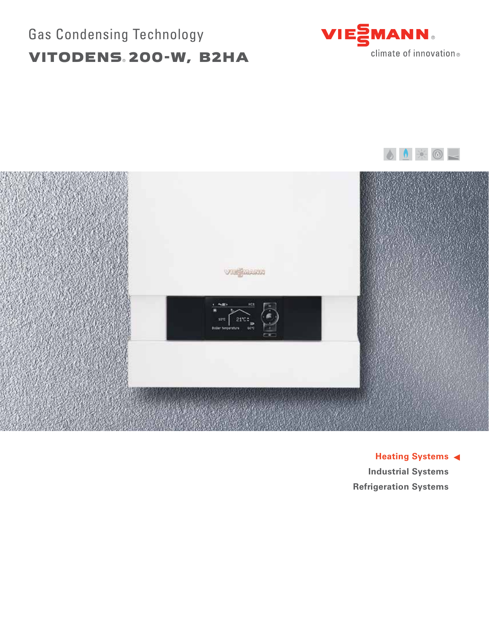# Gas Condensing Technology VITODENS® 200-W, B2HA







**Heating Systems Industrial Systems Refrigeration Systems**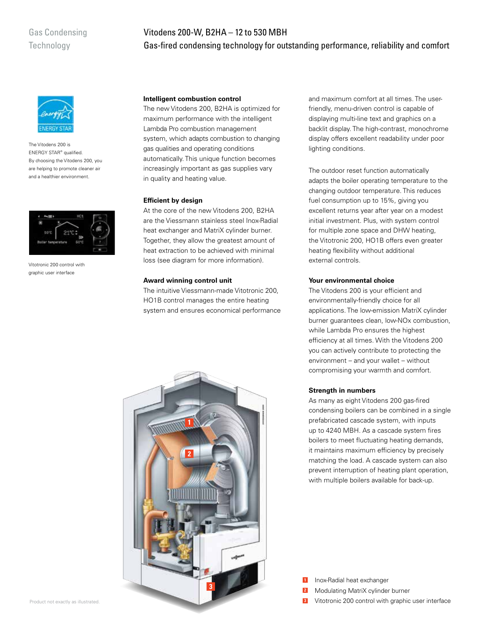## Gas Condensing **Technology**

# Vitodens 200-W, B2HA – 12 to 530 MBH Gas-fired condensing technology for outstanding performance, reliability and comfort



The Vitodens 200 is ENERGY STAR® qualified. By choosing the Vitodens 200, you are helping to promote cleaner air and a healthier environment.



Vitotronic 200 control with graphic user interface

#### **Intelligent combustion control**

The new Vitodens 200, B2HA is optimized for maximum performance with the intelligent Lambda Pro combustion management system, which adapts combustion to changing gas qualities and operating conditions automatically. This unique function becomes increasingly important as gas supplies vary in quality and heating value.

#### **Efficient by design**

At the core of the new Vitodens 200, B2HA are the Viessmann stainless steel Inox-Radial heat exchanger and MatriX cylinder burner. Together, they allow the greatest amount of heat extraction to be achieved with minimal loss (see diagram for more information).

#### **Award winning control unit**

The intuitive Viessmann-made Vitotronic 200, HO1B control manages the entire heating system and ensures economical performance



and maximum comfort at all times. The userfriendly, menu-driven control is capable of displaying multi-line text and graphics on a backlit display. The high-contrast, monochrome display offers excellent readability under poor lighting conditions.

The outdoor reset function automatically adapts the boiler operating temperature to the changing outdoor temperature. This reduces fuel consumption up to 15%, giving you excellent returns year after year on a modest initial investment. Plus, with system control for multiple zone space and DHW heating, the Vitotronic 200, HO1B offers even greater heating flexibility without additional external controls.

#### **Your environmental choice**

The Vitodens 200 is your efficient and environmentally-friendly choice for all applications. The low-emission MatriX cylinder burner guarantees clean, low-NOx combustion, while Lambda Pro ensures the highest efficiency at all times. With the Vitodens 200 you can actively contribute to protecting the environment – and your wallet – without compromising your warmth and comfort.

#### **Strength in numbers**

As many as eight Vitodens 200 gas-fired condensing boilers can be combined in a single prefabricated cascade system, with inputs up to 4240 MBH. As a cascade system fires boilers to meet fluctuating heating demands, it maintains maximum efficiency by precisely matching the load. A cascade system can also prevent interruption of heating plant operation, with multiple boilers available for back-up.

Inox-Radial heat exchanger **1**

- Modulating MatriX cylinder burner **2**
- Vitotronic 200 control with graphic user interface **3**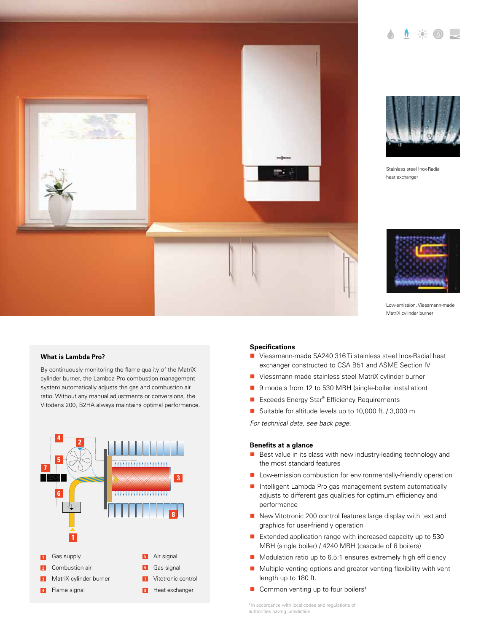



Stainless steel Inox-Radial heat exchanger



Low-emission, Viessmann-made MatriX cylinder burner

#### **What is Lambda Pro?**

By continuously monitoring the flame quality of the MatriX cylinder burner, the Lambda Pro combustion management system automatically adjusts the gas and combustion air ratio. Without any manual adjustments or conversions, the Vitodens 200, B2HA always maintains optimal performance.



#### **Specifications**

- Viessmann-made SA240 316 Ti stainless steel Inox-Radial heat exchanger constructed to CSA B51 and ASME Section IV
- Viessmann-made stainless steel MatriX cylinder burner
- 9 models from 12 to 530 MBH (single-boiler installation)
- Exceeds Energy Star® Efficiency Requirements
- Suitable for altitude levels up to 10,000 ft. / 3,000 m

*For technical data, see back page.*

#### **Benefits at a glance**

- Best value in its class with new industry-leading technology and the most standard features
- **Low-emission combustion for environmentally-friendly operation**
- Intelligent Lambda Pro gas management system automatically adjusts to different gas qualities for optimum efficiency and performance
- New Vitotronic 200 control features large display with text and graphics for user-friendly operation
- Extended application range with increased capacity up to 530 MBH (single boiler) / 4240 MBH (cascade of 8 boilers)
- Modulation ratio up to 6.5:1 ensures extremely high efficiency
- $\blacksquare$  Multiple venting options and greater venting flexibility with vent length up to 180 ft.
- $\blacksquare$  Common venting up to four boilers<sup>#</sup>

‡ In accordance with local codes and regulations of authorities having jurisdiction.